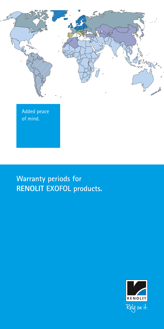

**Warranty periods for RENOLIT EXOFOL products.**